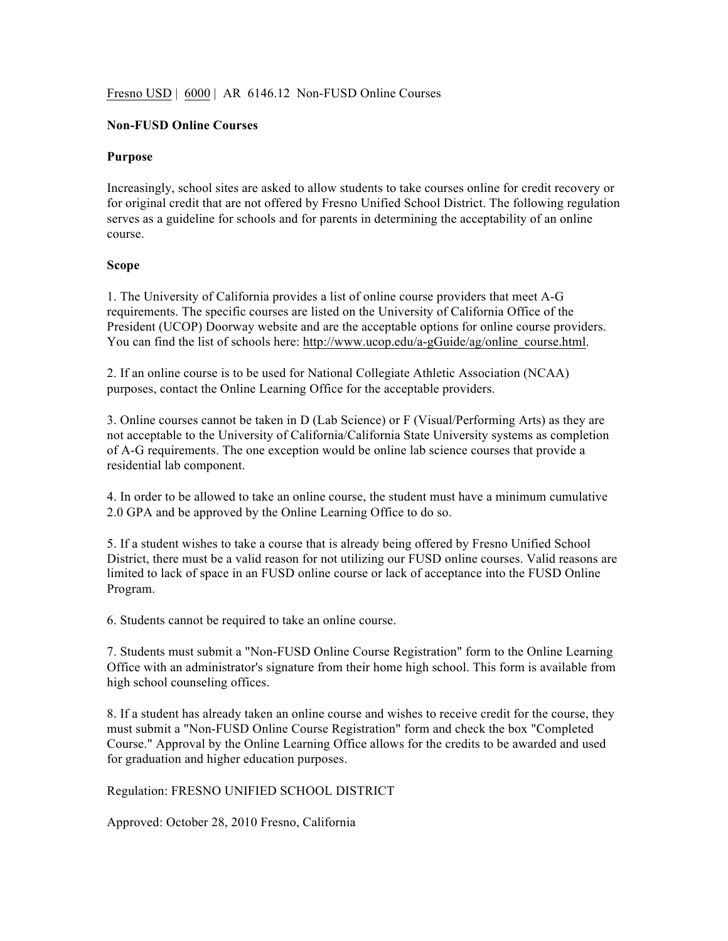## Fresno USD | 6000 | AR 6146.12 Non-FUSD Online Courses

## **Non-FUSD Online Courses**

## **Purpose**

Increasingly, school sites are asked to allow students to take courses online for credit recovery or for original credit that are not offered by Fresno Unified School District. The following regulation serves as a guideline for schools and for parents in determining the acceptability of an online course.

## **Scope**

1. The University of California provides a list of online course providers that meet A-G requirements. The specific courses are listed on the University of California Office of the President (UCOP) Doorway website and are the acceptable options for online course providers. You can find the list of schools here: http://www.ucop.edu/a-gGuide/ag/online\_course.html.

2. If an online course is to be used for National Collegiate Athletic Association (NCAA) purposes, contact the Online Learning Office for the acceptable providers.

3. Online courses cannot be taken in D (Lab Science) or F (Visual/Performing Arts) as they are not acceptable to the University of California/California State University systems as completion of A-G requirements. The one exception would be online lab science courses that provide a residential lab component.

4. In order to be allowed to take an online course, the student must have a minimum cumulative 2.0 GPA and be approved by the Online Learning Office to do so.

5. If a student wishes to take a course that is already being offered by Fresno Unified School District, there must be a valid reason for not utilizing our FUSD online courses. Valid reasons are limited to lack of space in an FUSD online course or lack of acceptance into the FUSD Online Program.

6. Students cannot be required to take an online course.

7. Students must submit a "Non-FUSD Online Course Registration" form to the Online Learning Office with an administrator's signature from their home high school. This form is available from high school counseling offices.

8. If a student has already taken an online course and wishes to receive credit for the course, they must submit a "Non-FUSD Online Course Registration" form and check the box "Completed Course." Approval by the Online Learning Office allows for the credits to be awarded and used for graduation and higher education purposes.

Regulation: FRESNO UNIFIED SCHOOL DISTRICT

Approved: October 28, 2010 Fresno, California